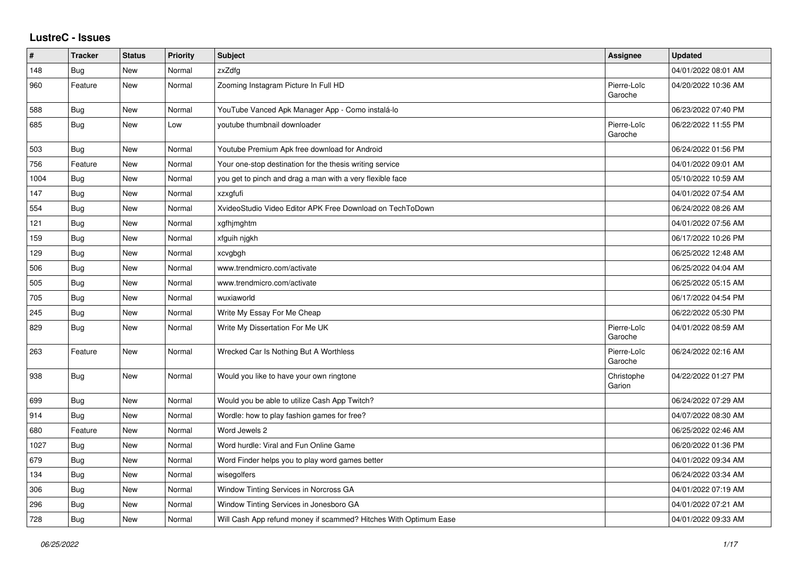## **LustreC - Issues**

| $\vert$ # | <b>Tracker</b> | <b>Status</b> | <b>Priority</b> | Subject                                                          | Assignee               | <b>Updated</b>      |
|-----------|----------------|---------------|-----------------|------------------------------------------------------------------|------------------------|---------------------|
| 148       | Bug            | <b>New</b>    | Normal          | zxZdfg                                                           |                        | 04/01/2022 08:01 AM |
| 960       | Feature        | <b>New</b>    | Normal          | Zooming Instagram Picture In Full HD                             | Pierre-Loïc<br>Garoche | 04/20/2022 10:36 AM |
| 588       | Bug            | <b>New</b>    | Normal          | YouTube Vanced Apk Manager App - Como instalá-lo                 |                        | 06/23/2022 07:40 PM |
| 685       | <b>Bug</b>     | <b>New</b>    | Low             | voutube thumbnail downloader                                     | Pierre-Loïc<br>Garoche | 06/22/2022 11:55 PM |
| 503       | <b>Bug</b>     | <b>New</b>    | Normal          | Youtube Premium Apk free download for Android                    |                        | 06/24/2022 01:56 PM |
| 756       | Feature        | <b>New</b>    | Normal          | Your one-stop destination for the thesis writing service         |                        | 04/01/2022 09:01 AM |
| 1004      | <b>Bug</b>     | <b>New</b>    | Normal          | you get to pinch and drag a man with a very flexible face        |                        | 05/10/2022 10:59 AM |
| 147       | <b>Bug</b>     | <b>New</b>    | Normal          | xzxgfufi                                                         |                        | 04/01/2022 07:54 AM |
| 554       | Bug            | <b>New</b>    | Normal          | XvideoStudio Video Editor APK Free Download on TechToDown        |                        | 06/24/2022 08:26 AM |
| 121       | Bug            | <b>New</b>    | Normal          | xgfhjmghtm                                                       |                        | 04/01/2022 07:56 AM |
| 159       | <b>Bug</b>     | <b>New</b>    | Normal          | xfguih njgkh                                                     |                        | 06/17/2022 10:26 PM |
| 129       | <b>Bug</b>     | <b>New</b>    | Normal          | xcvgbgh                                                          |                        | 06/25/2022 12:48 AM |
| 506       | <b>Bug</b>     | <b>New</b>    | Normal          | www.trendmicro.com/activate                                      |                        | 06/25/2022 04:04 AM |
| 505       | <b>Bug</b>     | <b>New</b>    | Normal          | www.trendmicro.com/activate                                      |                        | 06/25/2022 05:15 AM |
| 705       | Bug            | <b>New</b>    | Normal          | wuxiaworld                                                       |                        | 06/17/2022 04:54 PM |
| 245       | Bug            | <b>New</b>    | Normal          | Write My Essay For Me Cheap                                      |                        | 06/22/2022 05:30 PM |
| 829       | <b>Bug</b>     | New           | Normal          | Write My Dissertation For Me UK                                  | Pierre-Loïc<br>Garoche | 04/01/2022 08:59 AM |
| 263       | Feature        | <b>New</b>    | Normal          | Wrecked Car Is Nothing But A Worthless                           | Pierre-Loïc<br>Garoche | 06/24/2022 02:16 AM |
| 938       | Bug            | <b>New</b>    | Normal          | Would you like to have your own ringtone                         | Christophe<br>Garion   | 04/22/2022 01:27 PM |
| 699       | <b>Bug</b>     | <b>New</b>    | Normal          | Would you be able to utilize Cash App Twitch?                    |                        | 06/24/2022 07:29 AM |
| 914       | <b>Bug</b>     | <b>New</b>    | Normal          | Wordle: how to play fashion games for free?                      |                        | 04/07/2022 08:30 AM |
| 680       | Feature        | <b>New</b>    | Normal          | Word Jewels 2                                                    |                        | 06/25/2022 02:46 AM |
| 1027      | <b>Bug</b>     | <b>New</b>    | Normal          | Word hurdle: Viral and Fun Online Game                           |                        | 06/20/2022 01:36 PM |
| 679       | <b>Bug</b>     | New           | Normal          | Word Finder helps you to play word games better                  |                        | 04/01/2022 09:34 AM |
| 134       | <b>Bug</b>     | <b>New</b>    | Normal          | wisegolfers                                                      |                        | 06/24/2022 03:34 AM |
| 306       | Bug            | New           | Normal          | Window Tinting Services in Norcross GA                           |                        | 04/01/2022 07:19 AM |
| 296       | Bug            | <b>New</b>    | Normal          | Window Tinting Services in Jonesboro GA                          |                        | 04/01/2022 07:21 AM |
| 728       | Bug            | New           | Normal          | Will Cash App refund money if scammed? Hitches With Optimum Ease |                        | 04/01/2022 09:33 AM |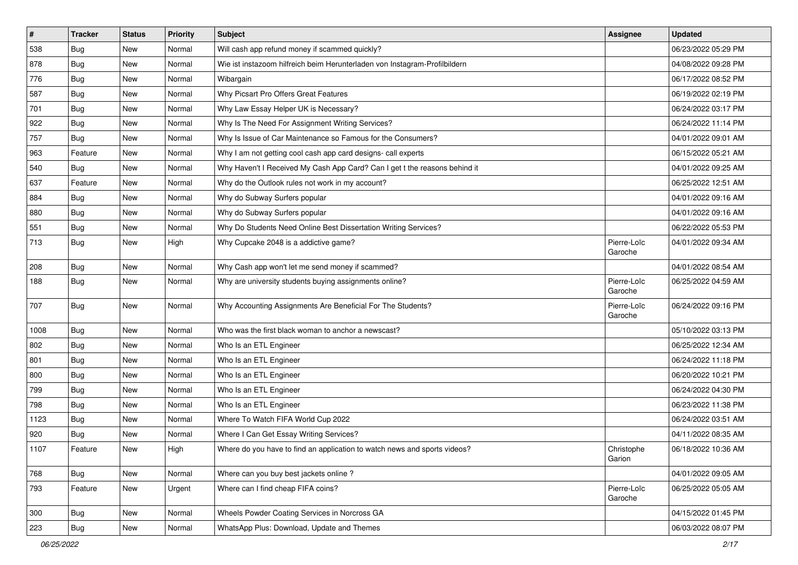| $\sharp$ | <b>Tracker</b> | <b>Status</b> | <b>Priority</b> | Subject                                                                    | <b>Assignee</b>        | <b>Updated</b>      |
|----------|----------------|---------------|-----------------|----------------------------------------------------------------------------|------------------------|---------------------|
| 538      | <b>Bug</b>     | New           | Normal          | Will cash app refund money if scammed quickly?                             |                        | 06/23/2022 05:29 PM |
| 878      | Bug            | <b>New</b>    | Normal          | Wie ist instazoom hilfreich beim Herunterladen von Instagram-Profilbildern |                        | 04/08/2022 09:28 PM |
| 776      | <b>Bug</b>     | New           | Normal          | Wibargain                                                                  |                        | 06/17/2022 08:52 PM |
| 587      | <b>Bug</b>     | <b>New</b>    | Normal          | Why Picsart Pro Offers Great Features                                      |                        | 06/19/2022 02:19 PM |
| 701      | <b>Bug</b>     | New           | Normal          | Why Law Essay Helper UK is Necessary?                                      |                        | 06/24/2022 03:17 PM |
| 922      | <b>Bug</b>     | New           | Normal          | Why Is The Need For Assignment Writing Services?                           |                        | 06/24/2022 11:14 PM |
| 757      | <b>Bug</b>     | New           | Normal          | Why Is Issue of Car Maintenance so Famous for the Consumers?               |                        | 04/01/2022 09:01 AM |
| 963      | Feature        | New           | Normal          | Why I am not getting cool cash app card designs- call experts              |                        | 06/15/2022 05:21 AM |
| 540      | Bug            | New           | Normal          | Why Haven't I Received My Cash App Card? Can I get t the reasons behind it |                        | 04/01/2022 09:25 AM |
| 637      | Feature        | New           | Normal          | Why do the Outlook rules not work in my account?                           |                        | 06/25/2022 12:51 AM |
| 884      | Bug            | New           | Normal          | Why do Subway Surfers popular                                              |                        | 04/01/2022 09:16 AM |
| 880      | Bug            | New           | Normal          | Why do Subway Surfers popular                                              |                        | 04/01/2022 09:16 AM |
| 551      | <b>Bug</b>     | New           | Normal          | Why Do Students Need Online Best Dissertation Writing Services?            |                        | 06/22/2022 05:53 PM |
| 713      | <b>Bug</b>     | New           | High            | Why Cupcake 2048 is a addictive game?                                      | Pierre-Loïc<br>Garoche | 04/01/2022 09:34 AM |
| 208      | Bug            | New           | Normal          | Why Cash app won't let me send money if scammed?                           |                        | 04/01/2022 08:54 AM |
| 188      | <b>Bug</b>     | New           | Normal          | Why are university students buying assignments online?                     | Pierre-Loïc<br>Garoche | 06/25/2022 04:59 AM |
| 707      | Bug            | New           | Normal          | Why Accounting Assignments Are Beneficial For The Students?                | Pierre-Loïc<br>Garoche | 06/24/2022 09:16 PM |
| 1008     | Bug            | <b>New</b>    | Normal          | Who was the first black woman to anchor a newscast?                        |                        | 05/10/2022 03:13 PM |
| 802      | <b>Bug</b>     | New           | Normal          | Who Is an ETL Engineer                                                     |                        | 06/25/2022 12:34 AM |
| 801      | Bug            | <b>New</b>    | Normal          | Who Is an ETL Engineer                                                     |                        | 06/24/2022 11:18 PM |
| 800      | Bug            | New           | Normal          | Who Is an ETL Engineer                                                     |                        | 06/20/2022 10:21 PM |
| 799      | <b>Bug</b>     | New           | Normal          | Who Is an ETL Engineer                                                     |                        | 06/24/2022 04:30 PM |
| 798      | Bug            | New           | Normal          | Who Is an ETL Engineer                                                     |                        | 06/23/2022 11:38 PM |
| 1123     | <b>Bug</b>     | New           | Normal          | Where To Watch FIFA World Cup 2022                                         |                        | 06/24/2022 03:51 AM |
| 920      | <b>Bug</b>     | New           | Normal          | Where I Can Get Essay Writing Services?                                    |                        | 04/11/2022 08:35 AM |
| 1107     | Feature        | New           | High            | Where do you have to find an application to watch news and sports videos?  | Christophe<br>Garion   | 06/18/2022 10:36 AM |
| 768      | <b>Bug</b>     | New           | Normal          | Where can you buy best jackets online?                                     |                        | 04/01/2022 09:05 AM |
| 793      | Feature        | New           | Urgent          | Where can I find cheap FIFA coins?                                         | Pierre-Loïc<br>Garoche | 06/25/2022 05:05 AM |
| 300      | <b>Bug</b>     | New           | Normal          | Wheels Powder Coating Services in Norcross GA                              |                        | 04/15/2022 01:45 PM |
| 223      | Bug            | New           | Normal          | WhatsApp Plus: Download, Update and Themes                                 |                        | 06/03/2022 08:07 PM |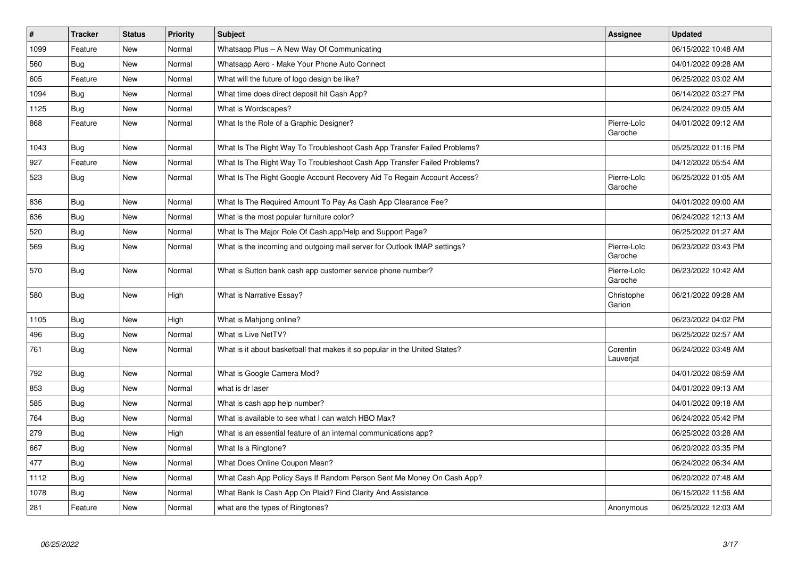| $\vert$ # | <b>Tracker</b> | <b>Status</b> | <b>Priority</b> | <b>Subject</b>                                                             | Assignee               | <b>Updated</b>      |
|-----------|----------------|---------------|-----------------|----------------------------------------------------------------------------|------------------------|---------------------|
| 1099      | Feature        | New           | Normal          | Whatsapp Plus - A New Way Of Communicating                                 |                        | 06/15/2022 10:48 AM |
| 560       | <b>Bug</b>     | New           | Normal          | Whatsapp Aero - Make Your Phone Auto Connect                               |                        | 04/01/2022 09:28 AM |
| 605       | Feature        | <b>New</b>    | Normal          | What will the future of logo design be like?                               |                        | 06/25/2022 03:02 AM |
| 1094      | <b>Bug</b>     | New           | Normal          | What time does direct deposit hit Cash App?                                |                        | 06/14/2022 03:27 PM |
| 1125      | Bug            | <b>New</b>    | Normal          | What is Wordscapes?                                                        |                        | 06/24/2022 09:05 AM |
| 868       | Feature        | New           | Normal          | What Is the Role of a Graphic Designer?                                    | Pierre-Loïc<br>Garoche | 04/01/2022 09:12 AM |
| 1043      | Bug            | <b>New</b>    | Normal          | What Is The Right Way To Troubleshoot Cash App Transfer Failed Problems?   |                        | 05/25/2022 01:16 PM |
| 927       | Feature        | <b>New</b>    | Normal          | What Is The Right Way To Troubleshoot Cash App Transfer Failed Problems?   |                        | 04/12/2022 05:54 AM |
| 523       | Bug            | New           | Normal          | What Is The Right Google Account Recovery Aid To Regain Account Access?    | Pierre-Loïc<br>Garoche | 06/25/2022 01:05 AM |
| 836       | <b>Bug</b>     | <b>New</b>    | Normal          | What Is The Required Amount To Pay As Cash App Clearance Fee?              |                        | 04/01/2022 09:00 AM |
| 636       | Bug            | New           | Normal          | What is the most popular furniture color?                                  |                        | 06/24/2022 12:13 AM |
| 520       | Bug            | <b>New</b>    | Normal          | What Is The Major Role Of Cash.app/Help and Support Page?                  |                        | 06/25/2022 01:27 AM |
| 569       | <b>Bug</b>     | New           | Normal          | What is the incoming and outgoing mail server for Outlook IMAP settings?   | Pierre-Loïc<br>Garoche | 06/23/2022 03:43 PM |
| 570       | Bug            | New           | Normal          | What is Sutton bank cash app customer service phone number?                | Pierre-Loïc<br>Garoche | 06/23/2022 10:42 AM |
| 580       | <b>Bug</b>     | <b>New</b>    | High            | What is Narrative Essay?                                                   | Christophe<br>Garion   | 06/21/2022 09:28 AM |
| 1105      | <b>Bug</b>     | <b>New</b>    | High            | What is Mahjong online?                                                    |                        | 06/23/2022 04:02 PM |
| 496       | <b>Bug</b>     | <b>New</b>    | Normal          | What is Live NetTV?                                                        |                        | 06/25/2022 02:57 AM |
| 761       | <b>Bug</b>     | New           | Normal          | What is it about basketball that makes it so popular in the United States? | Corentin<br>Lauverjat  | 06/24/2022 03:48 AM |
| 792       | Bug            | New           | Normal          | What is Google Camera Mod?                                                 |                        | 04/01/2022 08:59 AM |
| 853       | Bug            | <b>New</b>    | Normal          | what is dr laser                                                           |                        | 04/01/2022 09:13 AM |
| 585       | <b>Bug</b>     | <b>New</b>    | Normal          | What is cash app help number?                                              |                        | 04/01/2022 09:18 AM |
| 764       | Bug            | <b>New</b>    | Normal          | What is available to see what I can watch HBO Max?                         |                        | 06/24/2022 05:42 PM |
| 279       | <b>Bug</b>     | New           | High            | What is an essential feature of an internal communications app?            |                        | 06/25/2022 03:28 AM |
| 667       | Bug            | <b>New</b>    | Normal          | What Is a Ringtone?                                                        |                        | 06/20/2022 03:35 PM |
| 477       | <b>Bug</b>     | <b>New</b>    | Normal          | What Does Online Coupon Mean?                                              |                        | 06/24/2022 06:34 AM |
| 1112      | Bug            | New           | Normal          | What Cash App Policy Says If Random Person Sent Me Money On Cash App?      |                        | 06/20/2022 07:48 AM |
| 1078      | <b>Bug</b>     | New           | Normal          | What Bank Is Cash App On Plaid? Find Clarity And Assistance                |                        | 06/15/2022 11:56 AM |
| 281       | Feature        | <b>New</b>    | Normal          | what are the types of Ringtones?                                           | Anonymous              | 06/25/2022 12:03 AM |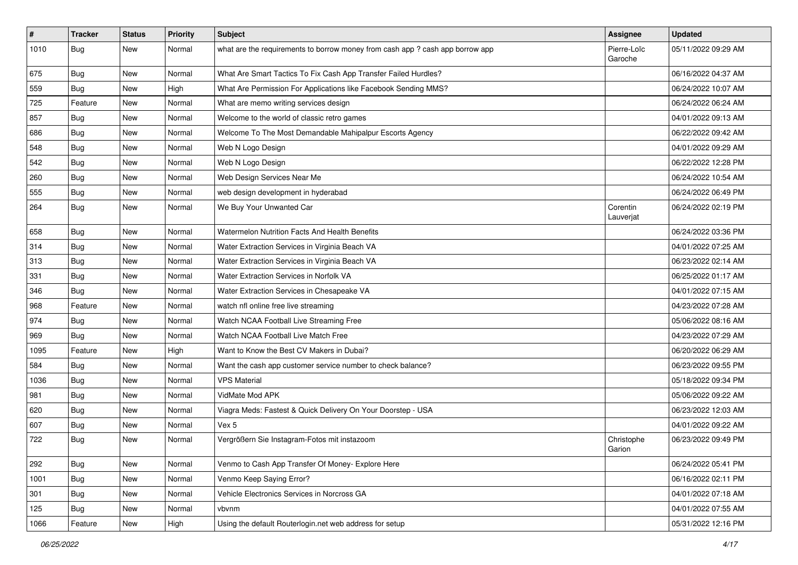| $\vert$ # | <b>Tracker</b> | <b>Status</b> | <b>Priority</b> | <b>Subject</b>                                                                | <b>Assignee</b>        | <b>Updated</b>      |
|-----------|----------------|---------------|-----------------|-------------------------------------------------------------------------------|------------------------|---------------------|
| 1010      | <b>Bug</b>     | New           | Normal          | what are the requirements to borrow money from cash app ? cash app borrow app | Pierre-Loïc<br>Garoche | 05/11/2022 09:29 AM |
| 675       | Bug            | New           | Normal          | What Are Smart Tactics To Fix Cash App Transfer Failed Hurdles?               |                        | 06/16/2022 04:37 AM |
| 559       | <b>Bug</b>     | New           | High            | What Are Permission For Applications like Facebook Sending MMS?               |                        | 06/24/2022 10:07 AM |
| 725       | Feature        | New           | Normal          | What are memo writing services design                                         |                        | 06/24/2022 06:24 AM |
| 857       | <b>Bug</b>     | New           | Normal          | Welcome to the world of classic retro games                                   |                        | 04/01/2022 09:13 AM |
| 686       | Bug            | New           | Normal          | Welcome To The Most Demandable Mahipalpur Escorts Agency                      |                        | 06/22/2022 09:42 AM |
| 548       | Bug            | New           | Normal          | Web N Logo Design                                                             |                        | 04/01/2022 09:29 AM |
| 542       | Bug            | New           | Normal          | Web N Logo Design                                                             |                        | 06/22/2022 12:28 PM |
| 260       | <b>Bug</b>     | <b>New</b>    | Normal          | Web Design Services Near Me                                                   |                        | 06/24/2022 10:54 AM |
| 555       | Bug            | New           | Normal          | web design development in hyderabad                                           |                        | 06/24/2022 06:49 PM |
| 264       | <b>Bug</b>     | New           | Normal          | We Buy Your Unwanted Car                                                      | Corentin<br>Lauverjat  | 06/24/2022 02:19 PM |
| 658       | Bug            | <b>New</b>    | Normal          | Watermelon Nutrition Facts And Health Benefits                                |                        | 06/24/2022 03:36 PM |
| 314       | Bug            | New           | Normal          | Water Extraction Services in Virginia Beach VA                                |                        | 04/01/2022 07:25 AM |
| 313       | Bug            | New           | Normal          | Water Extraction Services in Virginia Beach VA                                |                        | 06/23/2022 02:14 AM |
| 331       | <b>Bug</b>     | New           | Normal          | Water Extraction Services in Norfolk VA                                       |                        | 06/25/2022 01:17 AM |
| 346       | Bug            | New           | Normal          | Water Extraction Services in Chesapeake VA                                    |                        | 04/01/2022 07:15 AM |
| 968       | Feature        | New           | Normal          | watch nfl online free live streaming                                          |                        | 04/23/2022 07:28 AM |
| 974       | Bug            | New           | Normal          | Watch NCAA Football Live Streaming Free                                       |                        | 05/06/2022 08:16 AM |
| 969       | Bug            | New           | Normal          | Watch NCAA Football Live Match Free                                           |                        | 04/23/2022 07:29 AM |
| 1095      | Feature        | New           | High            | Want to Know the Best CV Makers in Dubai?                                     |                        | 06/20/2022 06:29 AM |
| 584       | <b>Bug</b>     | New           | Normal          | Want the cash app customer service number to check balance?                   |                        | 06/23/2022 09:55 PM |
| 1036      | <b>Bug</b>     | New           | Normal          | <b>VPS Material</b>                                                           |                        | 05/18/2022 09:34 PM |
| 981       | <b>Bug</b>     | New           | Normal          | VidMate Mod APK                                                               |                        | 05/06/2022 09:22 AM |
| 620       | Bug            | New           | Normal          | Viagra Meds: Fastest & Quick Delivery On Your Doorstep - USA                  |                        | 06/23/2022 12:03 AM |
| 607       | <b>Bug</b>     | New           | Normal          | Vex 5                                                                         |                        | 04/01/2022 09:22 AM |
| 722       | Bug            | New           | Normal          | Vergrößern Sie Instagram-Fotos mit instazoom                                  | Christophe<br>Garion   | 06/23/2022 09:49 PM |
| 292       | Bug            | New           | Normal          | Venmo to Cash App Transfer Of Money- Explore Here                             |                        | 06/24/2022 05:41 PM |
| 1001      | Bug            | New           | Normal          | Venmo Keep Saying Error?                                                      |                        | 06/16/2022 02:11 PM |
| 301       | Bug            | New           | Normal          | Vehicle Electronics Services in Norcross GA                                   |                        | 04/01/2022 07:18 AM |
| 125       | <b>Bug</b>     | New           | Normal          | vbvnm                                                                         |                        | 04/01/2022 07:55 AM |
| 1066      | Feature        | New           | High            | Using the default Routerlogin.net web address for setup                       |                        | 05/31/2022 12:16 PM |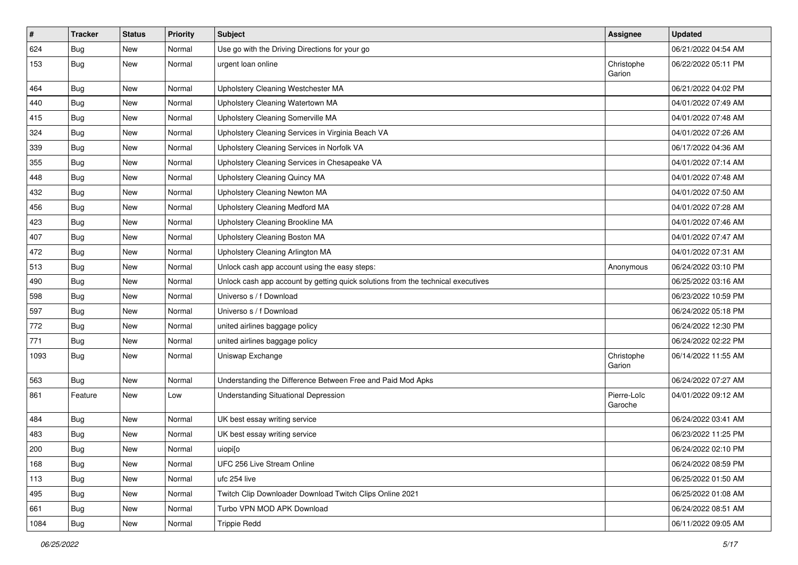| $\vert$ # | <b>Tracker</b> | <b>Status</b> | <b>Priority</b> | Subject                                                                          | <b>Assignee</b>        | <b>Updated</b>      |
|-----------|----------------|---------------|-----------------|----------------------------------------------------------------------------------|------------------------|---------------------|
| 624       | <b>Bug</b>     | New           | Normal          | Use go with the Driving Directions for your go                                   |                        | 06/21/2022 04:54 AM |
| 153       | <b>Bug</b>     | New           | Normal          | urgent loan online                                                               | Christophe<br>Garion   | 06/22/2022 05:11 PM |
| 464       | <b>Bug</b>     | <b>New</b>    | Normal          | Upholstery Cleaning Westchester MA                                               |                        | 06/21/2022 04:02 PM |
| 440       | Bug            | New           | Normal          | Upholstery Cleaning Watertown MA                                                 |                        | 04/01/2022 07:49 AM |
| 415       | <b>Bug</b>     | New           | Normal          | Upholstery Cleaning Somerville MA                                                |                        | 04/01/2022 07:48 AM |
| 324       | Bug            | New           | Normal          | Upholstery Cleaning Services in Virginia Beach VA                                |                        | 04/01/2022 07:26 AM |
| 339       | <b>Bug</b>     | New           | Normal          | Upholstery Cleaning Services in Norfolk VA                                       |                        | 06/17/2022 04:36 AM |
| 355       | <b>Bug</b>     | New           | Normal          | Upholstery Cleaning Services in Chesapeake VA                                    |                        | 04/01/2022 07:14 AM |
| 448       | <b>Bug</b>     | New           | Normal          | <b>Upholstery Cleaning Quincy MA</b>                                             |                        | 04/01/2022 07:48 AM |
| 432       | Bug            | New           | Normal          | Upholstery Cleaning Newton MA                                                    |                        | 04/01/2022 07:50 AM |
| 456       | <b>Bug</b>     | New           | Normal          | Upholstery Cleaning Medford MA                                                   |                        | 04/01/2022 07:28 AM |
| 423       | <b>Bug</b>     | <b>New</b>    | Normal          | Upholstery Cleaning Brookline MA                                                 |                        | 04/01/2022 07:46 AM |
| 407       | <b>Bug</b>     | New           | Normal          | Upholstery Cleaning Boston MA                                                    |                        | 04/01/2022 07:47 AM |
| 472       | <b>Bug</b>     | New           | Normal          | Upholstery Cleaning Arlington MA                                                 |                        | 04/01/2022 07:31 AM |
| 513       | Bug            | New           | Normal          | Unlock cash app account using the easy steps:                                    | Anonymous              | 06/24/2022 03:10 PM |
| 490       | <b>Bug</b>     | New           | Normal          | Unlock cash app account by getting quick solutions from the technical executives |                        | 06/25/2022 03:16 AM |
| 598       | Bug            | <b>New</b>    | Normal          | Universo s / f Download                                                          |                        | 06/23/2022 10:59 PM |
| 597       | Bug            | New           | Normal          | Universo s / f Download                                                          |                        | 06/24/2022 05:18 PM |
| 772       | <b>Bug</b>     | New           | Normal          | united airlines baggage policy                                                   |                        | 06/24/2022 12:30 PM |
| 771       | <b>Bug</b>     | New           | Normal          | united airlines baggage policy                                                   |                        | 06/24/2022 02:22 PM |
| 1093      | Bug            | New           | Normal          | Uniswap Exchange                                                                 | Christophe<br>Garion   | 06/14/2022 11:55 AM |
| 563       | Bug            | New           | Normal          | Understanding the Difference Between Free and Paid Mod Apks                      |                        | 06/24/2022 07:27 AM |
| 861       | Feature        | New           | Low             | <b>Understanding Situational Depression</b>                                      | Pierre-Loïc<br>Garoche | 04/01/2022 09:12 AM |
| 484       | <b>Bug</b>     | New           | Normal          | UK best essay writing service                                                    |                        | 06/24/2022 03:41 AM |
| 483       | Bug            | New           | Normal          | UK best essay writing service                                                    |                        | 06/23/2022 11:25 PM |
| 200       | <b>Bug</b>     | New           | Normal          | uiopi[o                                                                          |                        | 06/24/2022 02:10 PM |
| 168       | Bug            | New           | Normal          | UFC 256 Live Stream Online                                                       |                        | 06/24/2022 08:59 PM |
| 113       | <b>Bug</b>     | New           | Normal          | ufc 254 live                                                                     |                        | 06/25/2022 01:50 AM |
| 495       | <b>Bug</b>     | New           | Normal          | Twitch Clip Downloader Download Twitch Clips Online 2021                         |                        | 06/25/2022 01:08 AM |
| 661       | <b>Bug</b>     | New           | Normal          | Turbo VPN MOD APK Download                                                       |                        | 06/24/2022 08:51 AM |
| 1084      | <b>Bug</b>     | New           | Normal          | <b>Trippie Redd</b>                                                              |                        | 06/11/2022 09:05 AM |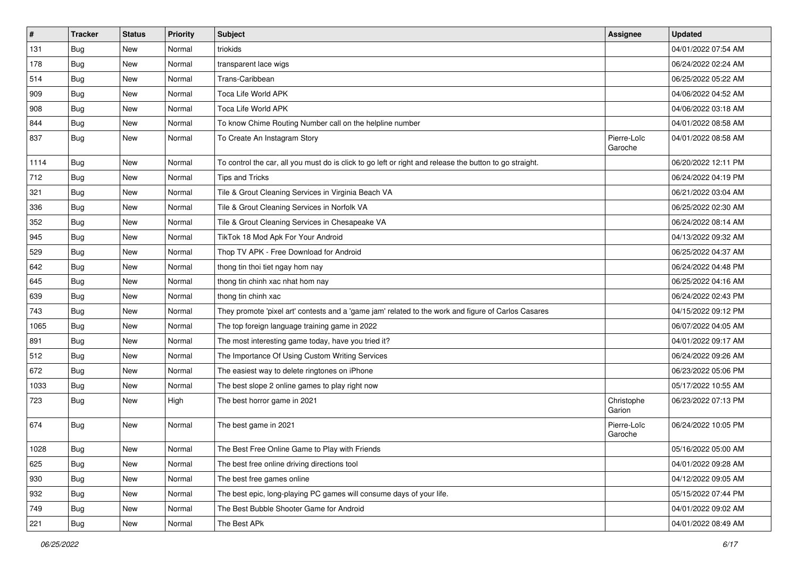| $\sharp$ | <b>Tracker</b> | <b>Status</b> | Priority | <b>Subject</b>                                                                                          | Assignee               | <b>Updated</b>      |
|----------|----------------|---------------|----------|---------------------------------------------------------------------------------------------------------|------------------------|---------------------|
| 131      | <b>Bug</b>     | New           | Normal   | triokids                                                                                                |                        | 04/01/2022 07:54 AM |
| 178      | <b>Bug</b>     | New           | Normal   | transparent lace wigs                                                                                   |                        | 06/24/2022 02:24 AM |
| 514      | Bug            | New           | Normal   | Trans-Caribbean                                                                                         |                        | 06/25/2022 05:22 AM |
| 909      | <b>Bug</b>     | New           | Normal   | <b>Toca Life World APK</b>                                                                              |                        | 04/06/2022 04:52 AM |
| 908      | Bug            | New           | Normal   | <b>Toca Life World APK</b>                                                                              |                        | 04/06/2022 03:18 AM |
| 844      | <b>Bug</b>     | New           | Normal   | To know Chime Routing Number call on the helpline number                                                |                        | 04/01/2022 08:58 AM |
| 837      | Bug            | New           | Normal   | To Create An Instagram Story                                                                            | Pierre-Loïc<br>Garoche | 04/01/2022 08:58 AM |
| 1114     | Bug            | New           | Normal   | To control the car, all you must do is click to go left or right and release the button to go straight. |                        | 06/20/2022 12:11 PM |
| 712      | Bug            | <b>New</b>    | Normal   | <b>Tips and Tricks</b>                                                                                  |                        | 06/24/2022 04:19 PM |
| 321      | Bug            | New           | Normal   | Tile & Grout Cleaning Services in Virginia Beach VA                                                     |                        | 06/21/2022 03:04 AM |
| 336      | <b>Bug</b>     | New           | Normal   | Tile & Grout Cleaning Services in Norfolk VA                                                            |                        | 06/25/2022 02:30 AM |
| 352      | Bug            | New           | Normal   | Tile & Grout Cleaning Services in Chesapeake VA                                                         |                        | 06/24/2022 08:14 AM |
| 945      | <b>Bug</b>     | New           | Normal   | TikTok 18 Mod Apk For Your Android                                                                      |                        | 04/13/2022 09:32 AM |
| 529      | <b>Bug</b>     | New           | Normal   | Thop TV APK - Free Download for Android                                                                 |                        | 06/25/2022 04:37 AM |
| 642      | <b>Bug</b>     | New           | Normal   | thong tin thoi tiet ngay hom nay                                                                        |                        | 06/24/2022 04:48 PM |
| 645      | <b>Bug</b>     | New           | Normal   | thong tin chinh xac nhat hom nay                                                                        |                        | 06/25/2022 04:16 AM |
| 639      | Bug            | New           | Normal   | thong tin chinh xac                                                                                     |                        | 06/24/2022 02:43 PM |
| 743      | <b>Bug</b>     | New           | Normal   | They promote 'pixel art' contests and a 'game jam' related to the work and figure of Carlos Casares     |                        | 04/15/2022 09:12 PM |
| 1065     | Bug            | New           | Normal   | The top foreign language training game in 2022                                                          |                        | 06/07/2022 04:05 AM |
| 891      | Bug            | New           | Normal   | The most interesting game today, have you tried it?                                                     |                        | 04/01/2022 09:17 AM |
| 512      | <b>Bug</b>     | New           | Normal   | The Importance Of Using Custom Writing Services                                                         |                        | 06/24/2022 09:26 AM |
| 672      | Bug            | New           | Normal   | The easiest way to delete ringtones on iPhone                                                           |                        | 06/23/2022 05:06 PM |
| 1033     | <b>Bug</b>     | New           | Normal   | The best slope 2 online games to play right now                                                         |                        | 05/17/2022 10:55 AM |
| 723      | <b>Bug</b>     | New           | High     | The best horror game in 2021                                                                            | Christophe<br>Garion   | 06/23/2022 07:13 PM |
| 674      | <b>Bug</b>     | New           | Normal   | The best game in 2021                                                                                   | Pierre-Loïc<br>Garoche | 06/24/2022 10:05 PM |
| 1028     | Bug            | New           | Normal   | The Best Free Online Game to Play with Friends                                                          |                        | 05/16/2022 05:00 AM |
| 625      | Bug            | New           | Normal   | The best free online driving directions tool                                                            |                        | 04/01/2022 09:28 AM |
| 930      | <b>Bug</b>     | New           | Normal   | The best free games online                                                                              |                        | 04/12/2022 09:05 AM |
| 932      | <b>Bug</b>     | New           | Normal   | The best epic, long-playing PC games will consume days of your life.                                    |                        | 05/15/2022 07:44 PM |
| 749      | Bug            | New           | Normal   | The Best Bubble Shooter Game for Android                                                                |                        | 04/01/2022 09:02 AM |
| 221      | Bug            | New           | Normal   | The Best APk                                                                                            |                        | 04/01/2022 08:49 AM |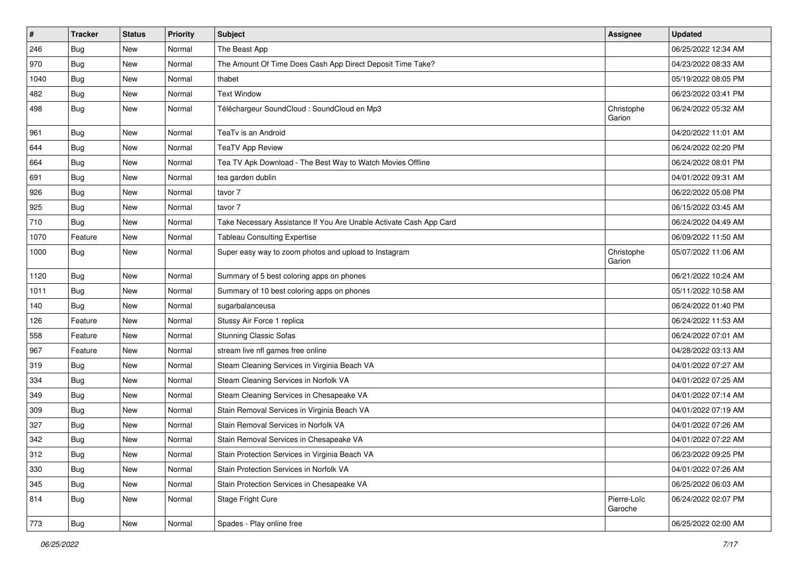| $\pmb{\#}$ | <b>Tracker</b> | <b>Status</b> | <b>Priority</b> | Subject                                                            | <b>Assignee</b>        | <b>Updated</b>      |
|------------|----------------|---------------|-----------------|--------------------------------------------------------------------|------------------------|---------------------|
| 246        | <b>Bug</b>     | New           | Normal          | The Beast App                                                      |                        | 06/25/2022 12:34 AM |
| 970        | <b>Bug</b>     | New           | Normal          | The Amount Of Time Does Cash App Direct Deposit Time Take?         |                        | 04/23/2022 08:33 AM |
| 1040       | Bug            | New           | Normal          | thabet                                                             |                        | 05/19/2022 08:05 PM |
| 482        | <b>Bug</b>     | New           | Normal          | <b>Text Window</b>                                                 |                        | 06/23/2022 03:41 PM |
| 498        | <b>Bug</b>     | New           | Normal          | Téléchargeur SoundCloud : SoundCloud en Mp3                        | Christophe<br>Garion   | 06/24/2022 05:32 AM |
| 961        | Bug            | New           | Normal          | TeaTv is an Android                                                |                        | 04/20/2022 11:01 AM |
| 644        | Bug            | New           | Normal          | <b>TeaTV App Review</b>                                            |                        | 06/24/2022 02:20 PM |
| 664        | Bug            | New           | Normal          | Tea TV Apk Download - The Best Way to Watch Movies Offline         |                        | 06/24/2022 08:01 PM |
| 691        | <b>Bug</b>     | New           | Normal          | tea garden dublin                                                  |                        | 04/01/2022 09:31 AM |
| 926        | Bug            | New           | Normal          | tavor 7                                                            |                        | 06/22/2022 05:08 PM |
| 925        | <b>Bug</b>     | New           | Normal          | tavor 7                                                            |                        | 06/15/2022 03:45 AM |
| 710        | <b>Bug</b>     | New           | Normal          | Take Necessary Assistance If You Are Unable Activate Cash App Card |                        | 06/24/2022 04:49 AM |
| 1070       | Feature        | New           | Normal          | <b>Tableau Consulting Expertise</b>                                |                        | 06/09/2022 11:50 AM |
| 1000       | Bug            | New           | Normal          | Super easy way to zoom photos and upload to Instagram              | Christophe<br>Garion   | 05/07/2022 11:06 AM |
| 1120       | <b>Bug</b>     | New           | Normal          | Summary of 5 best coloring apps on phones                          |                        | 06/21/2022 10:24 AM |
| 1011       | Bug            | New           | Normal          | Summary of 10 best coloring apps on phones                         |                        | 05/11/2022 10:58 AM |
| 140        | <b>Bug</b>     | New           | Normal          | sugarbalanceusa                                                    |                        | 06/24/2022 01:40 PM |
| 126        | Feature        | New           | Normal          | Stussy Air Force 1 replica                                         |                        | 06/24/2022 11:53 AM |
| 558        | Feature        | New           | Normal          | <b>Stunning Classic Sofas</b>                                      |                        | 06/24/2022 07:01 AM |
| 967        | Feature        | New           | Normal          | stream live nfl games free online                                  |                        | 04/28/2022 03:13 AM |
| 319        | <b>Bug</b>     | New           | Normal          | Steam Cleaning Services in Virginia Beach VA                       |                        | 04/01/2022 07:27 AM |
| 334        | <b>Bug</b>     | New           | Normal          | Steam Cleaning Services in Norfolk VA                              |                        | 04/01/2022 07:25 AM |
| 349        | <b>Bug</b>     | New           | Normal          | Steam Cleaning Services in Chesapeake VA                           |                        | 04/01/2022 07:14 AM |
| 309        | Bug            | New           | Normal          | Stain Removal Services in Virginia Beach VA                        |                        | 04/01/2022 07:19 AM |
| 327        | <b>Bug</b>     | New           | Normal          | Stain Removal Services in Norfolk VA                               |                        | 04/01/2022 07:26 AM |
| 342        | <b>Bug</b>     | New           | Normal          | Stain Removal Services in Chesapeake VA                            |                        | 04/01/2022 07:22 AM |
| 312        | <b>Bug</b>     | New           | Normal          | Stain Protection Services in Virginia Beach VA                     |                        | 06/23/2022 09:25 PM |
| 330        | Bug            | New           | Normal          | Stain Protection Services in Norfolk VA                            |                        | 04/01/2022 07:26 AM |
| 345        | <b>Bug</b>     | New           | Normal          | Stain Protection Services in Chesapeake VA                         |                        | 06/25/2022 06:03 AM |
| 814        | <b>Bug</b>     | New           | Normal          | Stage Fright Cure                                                  | Pierre-Loïc<br>Garoche | 06/24/2022 02:07 PM |
| 773        | <b>Bug</b>     | New           | Normal          | Spades - Play online free                                          |                        | 06/25/2022 02:00 AM |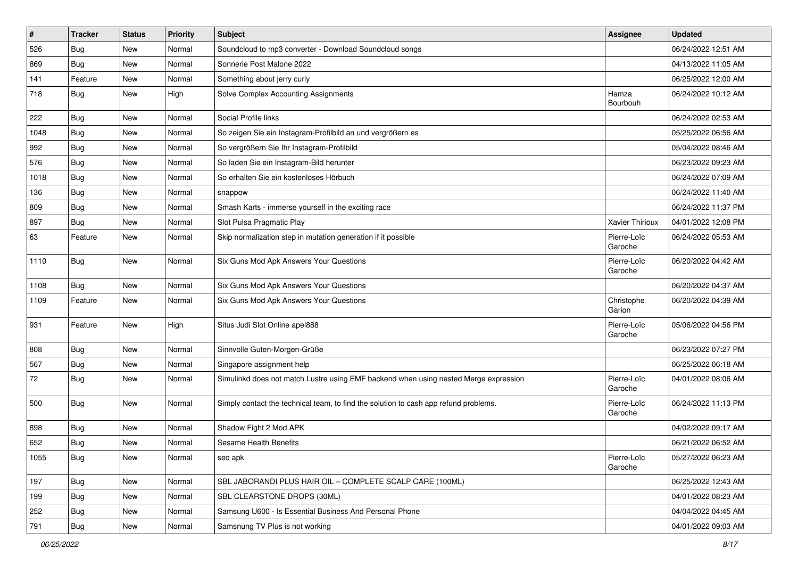| #    | <b>Tracker</b> | <b>Status</b> | Priority | <b>Subject</b>                                                                       | Assignee               | <b>Updated</b>      |
|------|----------------|---------------|----------|--------------------------------------------------------------------------------------|------------------------|---------------------|
| 526  | <b>Bug</b>     | New           | Normal   | Soundcloud to mp3 converter - Download Soundcloud songs                              |                        | 06/24/2022 12:51 AM |
| 869  | <b>Bug</b>     | New           | Normal   | Sonnerie Post Malone 2022                                                            |                        | 04/13/2022 11:05 AM |
| 141  | Feature        | New           | Normal   | Something about jerry curly                                                          |                        | 06/25/2022 12:00 AM |
| 718  | <b>Bug</b>     | New           | High     | Solve Complex Accounting Assignments                                                 | Hamza<br>Bourbouh      | 06/24/2022 10:12 AM |
| 222  | <b>Bug</b>     | New           | Normal   | Social Profile links                                                                 |                        | 06/24/2022 02:53 AM |
| 1048 | <b>Bug</b>     | New           | Normal   | So zeigen Sie ein Instagram-Profilbild an und vergrößern es                          |                        | 05/25/2022 06:56 AM |
| 992  | Bug            | New           | Normal   | So vergrößern Sie Ihr Instagram-Profilbild                                           |                        | 05/04/2022 08:46 AM |
| 576  | Bug            | New           | Normal   | So laden Sie ein Instagram-Bild herunter                                             |                        | 06/23/2022 09:23 AM |
| 1018 | <b>Bug</b>     | New           | Normal   | So erhalten Sie ein kostenloses Hörbuch                                              |                        | 06/24/2022 07:09 AM |
| 136  | Bug            | New           | Normal   | snappow                                                                              |                        | 06/24/2022 11:40 AM |
| 809  | Bug            | New           | Normal   | Smash Karts - immerse yourself in the exciting race                                  |                        | 06/24/2022 11:37 PM |
| 897  | <b>Bug</b>     | New           | Normal   | Slot Pulsa Pragmatic Play                                                            | Xavier Thirioux        | 04/01/2022 12:08 PM |
| 63   | Feature        | New           | Normal   | Skip normalization step in mutation generation if it possible                        | Pierre-Loïc<br>Garoche | 06/24/2022 05:53 AM |
| 1110 | <b>Bug</b>     | <b>New</b>    | Normal   | Six Guns Mod Apk Answers Your Questions                                              | Pierre-Loïc<br>Garoche | 06/20/2022 04:42 AM |
| 1108 | <b>Bug</b>     | <b>New</b>    | Normal   | Six Guns Mod Apk Answers Your Questions                                              |                        | 06/20/2022 04:37 AM |
| 1109 | Feature        | New           | Normal   | Six Guns Mod Apk Answers Your Questions                                              | Christophe<br>Garion   | 06/20/2022 04:39 AM |
| 931  | Feature        | New           | High     | Situs Judi Slot Online apel888                                                       | Pierre-Loïc<br>Garoche | 05/06/2022 04:56 PM |
| 808  | <b>Bug</b>     | New           | Normal   | Sinnvolle Guten-Morgen-Grüße                                                         |                        | 06/23/2022 07:27 PM |
| 567  | Bug            | New           | Normal   | Singapore assignment help                                                            |                        | 06/25/2022 06:18 AM |
| 72   | <b>Bug</b>     | New           | Normal   | Simulinkd does not match Lustre using EMF backend when using nested Merge expression | Pierre-Loïc<br>Garoche | 04/01/2022 08:06 AM |
| 500  | Bug            | New           | Normal   | Simply contact the technical team, to find the solution to cash app refund problems. | Pierre-Loïc<br>Garoche | 06/24/2022 11:13 PM |
| 898  | <b>Bug</b>     | New           | Normal   | Shadow Fight 2 Mod APK                                                               |                        | 04/02/2022 09:17 AM |
| 652  | <b>Bug</b>     | New           | Normal   | Sesame Health Benefits                                                               |                        | 06/21/2022 06:52 AM |
| 1055 | <b>Bug</b>     | New           | Normal   | seo apk                                                                              | Pierre-Loïc<br>Garoche | 05/27/2022 06:23 AM |
| 197  | Bug            | New           | Normal   | SBL JABORANDI PLUS HAIR OIL - COMPLETE SCALP CARE (100ML)                            |                        | 06/25/2022 12:43 AM |
| 199  | Bug            | New           | Normal   | SBL CLEARSTONE DROPS (30ML)                                                          |                        | 04/01/2022 08:23 AM |
| 252  | Bug            | New           | Normal   | Samsung U600 - Is Essential Business And Personal Phone                              |                        | 04/04/2022 04:45 AM |
| 791  | <b>Bug</b>     | New           | Normal   | Samsnung TV Plus is not working                                                      |                        | 04/01/2022 09:03 AM |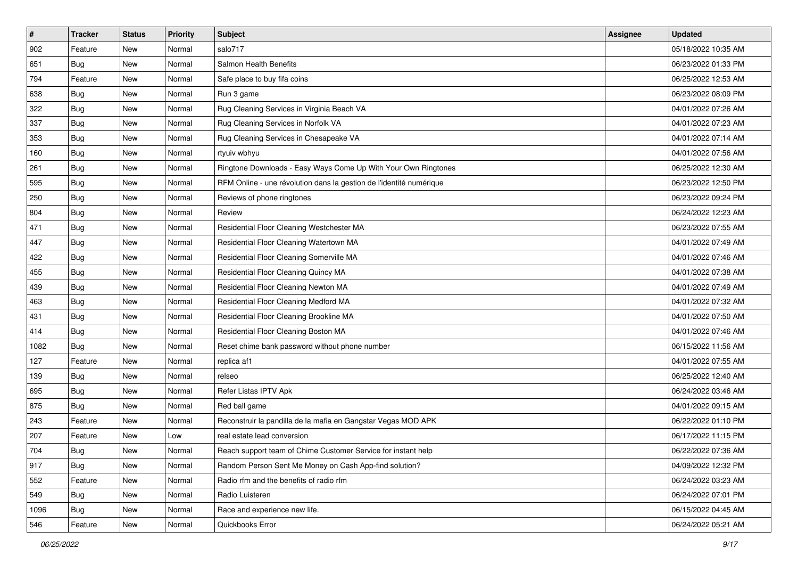| $\sharp$ | <b>Tracker</b> | <b>Status</b> | <b>Priority</b> | <b>Subject</b>                                                      | <b>Assignee</b> | <b>Updated</b>      |
|----------|----------------|---------------|-----------------|---------------------------------------------------------------------|-----------------|---------------------|
| 902      | Feature        | New           | Normal          | salo717                                                             |                 | 05/18/2022 10:35 AM |
| 651      | <b>Bug</b>     | New           | Normal          | Salmon Health Benefits                                              |                 | 06/23/2022 01:33 PM |
| 794      | Feature        | New           | Normal          | Safe place to buy fifa coins                                        |                 | 06/25/2022 12:53 AM |
| 638      | <b>Bug</b>     | New           | Normal          | Run 3 game                                                          |                 | 06/23/2022 08:09 PM |
| 322      | Bug            | New           | Normal          | Rug Cleaning Services in Virginia Beach VA                          |                 | 04/01/2022 07:26 AM |
| 337      | <b>Bug</b>     | New           | Normal          | Rug Cleaning Services in Norfolk VA                                 |                 | 04/01/2022 07:23 AM |
| 353      | <b>Bug</b>     | New           | Normal          | Rug Cleaning Services in Chesapeake VA                              |                 | 04/01/2022 07:14 AM |
| 160      | <b>Bug</b>     | New           | Normal          | rtyuiv wbhyu                                                        |                 | 04/01/2022 07:56 AM |
| 261      | <b>Bug</b>     | New           | Normal          | Ringtone Downloads - Easy Ways Come Up With Your Own Ringtones      |                 | 06/25/2022 12:30 AM |
| 595      | Bug            | New           | Normal          | RFM Online - une révolution dans la gestion de l'identité numérique |                 | 06/23/2022 12:50 PM |
| 250      | <b>Bug</b>     | New           | Normal          | Reviews of phone ringtones                                          |                 | 06/23/2022 09:24 PM |
| 804      | <b>Bug</b>     | New           | Normal          | Review                                                              |                 | 06/24/2022 12:23 AM |
| 471      | <b>Bug</b>     | New           | Normal          | Residential Floor Cleaning Westchester MA                           |                 | 06/23/2022 07:55 AM |
| 447      | <b>Bug</b>     | New           | Normal          | Residential Floor Cleaning Watertown MA                             |                 | 04/01/2022 07:49 AM |
| 422      | <b>Bug</b>     | <b>New</b>    | Normal          | Residential Floor Cleaning Somerville MA                            |                 | 04/01/2022 07:46 AM |
| 455      | Bug            | New           | Normal          | Residential Floor Cleaning Quincy MA                                |                 | 04/01/2022 07:38 AM |
| 439      | <b>Bug</b>     | New           | Normal          | Residential Floor Cleaning Newton MA                                |                 | 04/01/2022 07:49 AM |
| 463      | Bug            | New           | Normal          | Residential Floor Cleaning Medford MA                               |                 | 04/01/2022 07:32 AM |
| 431      | Bug            | New           | Normal          | Residential Floor Cleaning Brookline MA                             |                 | 04/01/2022 07:50 AM |
| 414      | Bug            | <b>New</b>    | Normal          | Residential Floor Cleaning Boston MA                                |                 | 04/01/2022 07:46 AM |
| 1082     | <b>Bug</b>     | New           | Normal          | Reset chime bank password without phone number                      |                 | 06/15/2022 11:56 AM |
| 127      | Feature        | New           | Normal          | replica af1                                                         |                 | 04/01/2022 07:55 AM |
| 139      | Bug            | New           | Normal          | relseo                                                              |                 | 06/25/2022 12:40 AM |
| 695      | <b>Bug</b>     | New           | Normal          | Refer Listas IPTV Apk                                               |                 | 06/24/2022 03:46 AM |
| 875      | Bug            | New           | Normal          | Red ball game                                                       |                 | 04/01/2022 09:15 AM |
| 243      | Feature        | New           | Normal          | Reconstruir la pandilla de la mafia en Gangstar Vegas MOD APK       |                 | 06/22/2022 01:10 PM |
| 207      | Feature        | New           | Low             | real estate lead conversion                                         |                 | 06/17/2022 11:15 PM |
| 704      | Bug            | New           | Normal          | Reach support team of Chime Customer Service for instant help       |                 | 06/22/2022 07:36 AM |
| 917      | <b>Bug</b>     | New           | Normal          | Random Person Sent Me Money on Cash App-find solution?              |                 | 04/09/2022 12:32 PM |
| 552      | Feature        | New           | Normal          | Radio rfm and the benefits of radio rfm                             |                 | 06/24/2022 03:23 AM |
| 549      | Bug            | New           | Normal          | Radio Luisteren                                                     |                 | 06/24/2022 07:01 PM |
| 1096     | <b>Bug</b>     | New           | Normal          | Race and experience new life.                                       |                 | 06/15/2022 04:45 AM |
| 546      | Feature        | New           | Normal          | Quickbooks Error                                                    |                 | 06/24/2022 05:21 AM |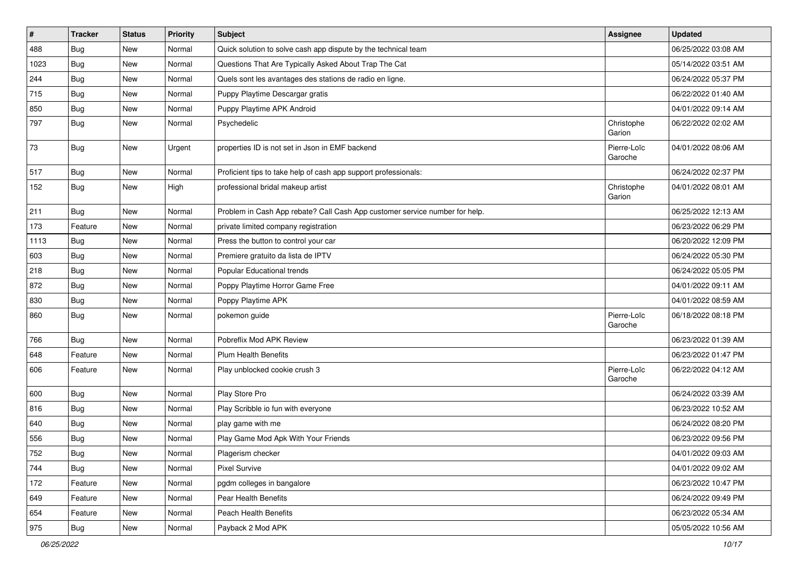| $\vert$ # | <b>Tracker</b> | <b>Status</b> | <b>Priority</b> | <b>Subject</b>                                                              | <b>Assignee</b>        | <b>Updated</b>      |
|-----------|----------------|---------------|-----------------|-----------------------------------------------------------------------------|------------------------|---------------------|
| 488       | <b>Bug</b>     | New           | Normal          | Quick solution to solve cash app dispute by the technical team              |                        | 06/25/2022 03:08 AM |
| 1023      | Bug            | New           | Normal          | Questions That Are Typically Asked About Trap The Cat                       |                        | 05/14/2022 03:51 AM |
| 244       | Bug            | New           | Normal          | Quels sont les avantages des stations de radio en ligne.                    |                        | 06/24/2022 05:37 PM |
| 715       | <b>Bug</b>     | New           | Normal          | Puppy Playtime Descargar gratis                                             |                        | 06/22/2022 01:40 AM |
| 850       | <b>Bug</b>     | New           | Normal          | Puppy Playtime APK Android                                                  |                        | 04/01/2022 09:14 AM |
| 797       | Bug            | New           | Normal          | Psychedelic                                                                 | Christophe<br>Garion   | 06/22/2022 02:02 AM |
| 73        | Bug            | New           | Urgent          | properties ID is not set in Json in EMF backend                             | Pierre-Loïc<br>Garoche | 04/01/2022 08:06 AM |
| 517       | <b>Bug</b>     | New           | Normal          | Proficient tips to take help of cash app support professionals:             |                        | 06/24/2022 02:37 PM |
| 152       | Bug            | New           | High            | professional bridal makeup artist                                           | Christophe<br>Garion   | 04/01/2022 08:01 AM |
| 211       | Bug            | New           | Normal          | Problem in Cash App rebate? Call Cash App customer service number for help. |                        | 06/25/2022 12:13 AM |
| 173       | Feature        | New           | Normal          | private limited company registration                                        |                        | 06/23/2022 06:29 PM |
| 1113      | <b>Bug</b>     | New           | Normal          | Press the button to control your car                                        |                        | 06/20/2022 12:09 PM |
| 603       | Bug            | New           | Normal          | Premiere gratuito da lista de IPTV                                          |                        | 06/24/2022 05:30 PM |
| 218       | <b>Bug</b>     | New           | Normal          | Popular Educational trends                                                  |                        | 06/24/2022 05:05 PM |
| 872       | <b>Bug</b>     | New           | Normal          | Poppy Playtime Horror Game Free                                             |                        | 04/01/2022 09:11 AM |
| 830       | Bug            | New           | Normal          | Poppy Playtime APK                                                          |                        | 04/01/2022 08:59 AM |
| 860       | <b>Bug</b>     | New           | Normal          | pokemon guide                                                               | Pierre-Loïc<br>Garoche | 06/18/2022 08:18 PM |
| 766       | Bug            | New           | Normal          | Pobreflix Mod APK Review                                                    |                        | 06/23/2022 01:39 AM |
| 648       | Feature        | New           | Normal          | <b>Plum Health Benefits</b>                                                 |                        | 06/23/2022 01:47 PM |
| 606       | Feature        | New           | Normal          | Play unblocked cookie crush 3                                               | Pierre-Loïc<br>Garoche | 06/22/2022 04:12 AM |
| 600       | Bug            | New           | Normal          | Play Store Pro                                                              |                        | 06/24/2022 03:39 AM |
| 816       | <b>Bug</b>     | New           | Normal          | Play Scribble io fun with everyone                                          |                        | 06/23/2022 10:52 AM |
| 640       | <b>Bug</b>     | New           | Normal          | play game with me                                                           |                        | 06/24/2022 08:20 PM |
| 556       | <b>Bug</b>     | New           | Normal          | Play Game Mod Apk With Your Friends                                         |                        | 06/23/2022 09:56 PM |
| 752       | Bug            | New           | Normal          | Plagerism checker                                                           |                        | 04/01/2022 09:03 AM |
| 744       | <b>Bug</b>     | New           | Normal          | <b>Pixel Survive</b>                                                        |                        | 04/01/2022 09:02 AM |
| 172       | Feature        | New           | Normal          | pgdm colleges in bangalore                                                  |                        | 06/23/2022 10:47 PM |
| 649       | Feature        | New           | Normal          | Pear Health Benefits                                                        |                        | 06/24/2022 09:49 PM |
| 654       | Feature        | New           | Normal          | Peach Health Benefits                                                       |                        | 06/23/2022 05:34 AM |
| 975       | Bug            | New           | Normal          | Payback 2 Mod APK                                                           |                        | 05/05/2022 10:56 AM |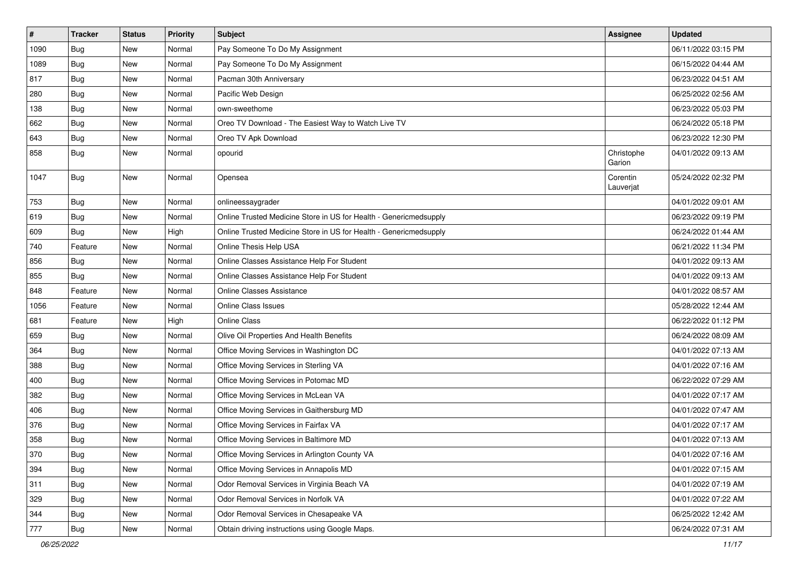| $\sharp$ | <b>Tracker</b> | <b>Status</b> | <b>Priority</b> | Subject                                                           | <b>Assignee</b>       | <b>Updated</b>      |
|----------|----------------|---------------|-----------------|-------------------------------------------------------------------|-----------------------|---------------------|
| 1090     | <b>Bug</b>     | New           | Normal          | Pay Someone To Do My Assignment                                   |                       | 06/11/2022 03:15 PM |
| 1089     | Bug            | <b>New</b>    | Normal          | Pay Someone To Do My Assignment                                   |                       | 06/15/2022 04:44 AM |
| 817      | Bug            | New           | Normal          | Pacman 30th Anniversary                                           |                       | 06/23/2022 04:51 AM |
| 280      | <b>Bug</b>     | <b>New</b>    | Normal          | Pacific Web Design                                                |                       | 06/25/2022 02:56 AM |
| 138      | Bug            | New           | Normal          | own-sweethome                                                     |                       | 06/23/2022 05:03 PM |
| 662      | <b>Bug</b>     | New           | Normal          | Oreo TV Download - The Easiest Way to Watch Live TV               |                       | 06/24/2022 05:18 PM |
| 643      | Bug            | <b>New</b>    | Normal          | Oreo TV Apk Download                                              |                       | 06/23/2022 12:30 PM |
| 858      | Bug            | New           | Normal          | opourid                                                           | Christophe<br>Garion  | 04/01/2022 09:13 AM |
| 1047     | <b>Bug</b>     | <b>New</b>    | Normal          | Opensea                                                           | Corentin<br>Lauverjat | 05/24/2022 02:32 PM |
| 753      | <b>Bug</b>     | <b>New</b>    | Normal          | onlineessaygrader                                                 |                       | 04/01/2022 09:01 AM |
| 619      | Bug            | <b>New</b>    | Normal          | Online Trusted Medicine Store in US for Health - Genericmedsupply |                       | 06/23/2022 09:19 PM |
| 609      | <b>Bug</b>     | New           | High            | Online Trusted Medicine Store in US for Health - Genericmedsupply |                       | 06/24/2022 01:44 AM |
| 740      | Feature        | New           | Normal          | Online Thesis Help USA                                            |                       | 06/21/2022 11:34 PM |
| 856      | <b>Bug</b>     | New           | Normal          | Online Classes Assistance Help For Student                        |                       | 04/01/2022 09:13 AM |
| 855      | <b>Bug</b>     | New           | Normal          | Online Classes Assistance Help For Student                        |                       | 04/01/2022 09:13 AM |
| 848      | Feature        | New           | Normal          | <b>Online Classes Assistance</b>                                  |                       | 04/01/2022 08:57 AM |
| 1056     | Feature        | New           | Normal          | <b>Online Class Issues</b>                                        |                       | 05/28/2022 12:44 AM |
| 681      | Feature        | New           | High            | Online Class                                                      |                       | 06/22/2022 01:12 PM |
| 659      | Bug            | New           | Normal          | Olive Oil Properties And Health Benefits                          |                       | 06/24/2022 08:09 AM |
| 364      | <b>Bug</b>     | New           | Normal          | Office Moving Services in Washington DC                           |                       | 04/01/2022 07:13 AM |
| 388      | <b>Bug</b>     | <b>New</b>    | Normal          | Office Moving Services in Sterling VA                             |                       | 04/01/2022 07:16 AM |
| 400      | <b>Bug</b>     | New           | Normal          | Office Moving Services in Potomac MD                              |                       | 06/22/2022 07:29 AM |
| 382      | <b>Bug</b>     | New           | Normal          | Office Moving Services in McLean VA                               |                       | 04/01/2022 07:17 AM |
| 406      | Bug            | <b>New</b>    | Normal          | Office Moving Services in Gaithersburg MD                         |                       | 04/01/2022 07:47 AM |
| 376      | <b>Bug</b>     | New           | Normal          | Office Moving Services in Fairfax VA                              |                       | 04/01/2022 07:17 AM |
| 358      | <b>Bug</b>     | <b>New</b>    | Normal          | Office Moving Services in Baltimore MD                            |                       | 04/01/2022 07:13 AM |
| 370      | Bug            | New           | Normal          | Office Moving Services in Arlington County VA                     |                       | 04/01/2022 07:16 AM |
| 394      | Bug            | New           | Normal          | Office Moving Services in Annapolis MD                            |                       | 04/01/2022 07:15 AM |
| 311      | Bug            | New           | Normal          | Odor Removal Services in Virginia Beach VA                        |                       | 04/01/2022 07:19 AM |
| 329      | <b>Bug</b>     | New           | Normal          | Odor Removal Services in Norfolk VA                               |                       | 04/01/2022 07:22 AM |
| 344      | <b>Bug</b>     | New           | Normal          | Odor Removal Services in Chesapeake VA                            |                       | 06/25/2022 12:42 AM |
| 777      | <b>Bug</b>     | New           | Normal          | Obtain driving instructions using Google Maps.                    |                       | 06/24/2022 07:31 AM |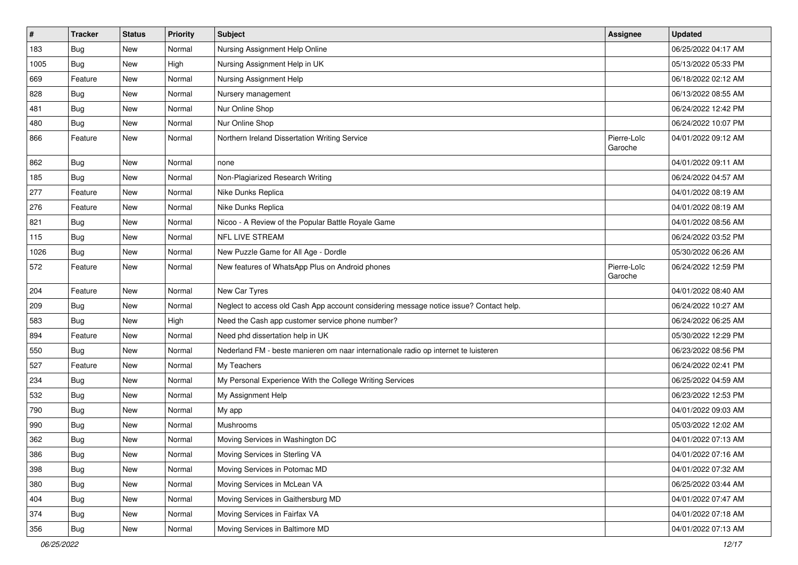| $\sharp$ | <b>Tracker</b> | <b>Status</b> | <b>Priority</b> | Subject                                                                                | <b>Assignee</b>        | <b>Updated</b>      |
|----------|----------------|---------------|-----------------|----------------------------------------------------------------------------------------|------------------------|---------------------|
| 183      | <b>Bug</b>     | New           | Normal          | Nursing Assignment Help Online                                                         |                        | 06/25/2022 04:17 AM |
| 1005     | <b>Bug</b>     | <b>New</b>    | High            | Nursing Assignment Help in UK                                                          |                        | 05/13/2022 05:33 PM |
| 669      | Feature        | New           | Normal          | Nursing Assignment Help                                                                |                        | 06/18/2022 02:12 AM |
| 828      | Bug            | New           | Normal          | Nursery management                                                                     |                        | 06/13/2022 08:55 AM |
| 481      | Bug            | <b>New</b>    | Normal          | Nur Online Shop                                                                        |                        | 06/24/2022 12:42 PM |
| 480      | <b>Bug</b>     | New           | Normal          | Nur Online Shop                                                                        |                        | 06/24/2022 10:07 PM |
| 866      | Feature        | New           | Normal          | Northern Ireland Dissertation Writing Service                                          | Pierre-Loïc<br>Garoche | 04/01/2022 09:12 AM |
| 862      | Bug            | New           | Normal          | none                                                                                   |                        | 04/01/2022 09:11 AM |
| 185      | <b>Bug</b>     | <b>New</b>    | Normal          | Non-Plagiarized Research Writing                                                       |                        | 06/24/2022 04:57 AM |
| 277      | Feature        | New           | Normal          | Nike Dunks Replica                                                                     |                        | 04/01/2022 08:19 AM |
| 276      | Feature        | New           | Normal          | Nike Dunks Replica                                                                     |                        | 04/01/2022 08:19 AM |
| 821      | <b>Bug</b>     | New           | Normal          | Nicoo - A Review of the Popular Battle Royale Game                                     |                        | 04/01/2022 08:56 AM |
| 115      | Bug            | New           | Normal          | NFL LIVE STREAM                                                                        |                        | 06/24/2022 03:52 PM |
| 1026     | <b>Bug</b>     | <b>New</b>    | Normal          | New Puzzle Game for All Age - Dordle                                                   |                        | 05/30/2022 06:26 AM |
| 572      | Feature        | New           | Normal          | New features of WhatsApp Plus on Android phones                                        | Pierre-Loïc<br>Garoche | 06/24/2022 12:59 PM |
| 204      | Feature        | New           | Normal          | New Car Tyres                                                                          |                        | 04/01/2022 08:40 AM |
| 209      | <b>Bug</b>     | New           | Normal          | Neglect to access old Cash App account considering message notice issue? Contact help. |                        | 06/24/2022 10:27 AM |
| 583      | <b>Bug</b>     | <b>New</b>    | High            | Need the Cash app customer service phone number?                                       |                        | 06/24/2022 06:25 AM |
| 894      | Feature        | New           | Normal          | Need phd dissertation help in UK                                                       |                        | 05/30/2022 12:29 PM |
| 550      | Bug            | New           | Normal          | Nederland FM - beste manieren om naar internationale radio op internet te luisteren    |                        | 06/23/2022 08:56 PM |
| 527      | Feature        | <b>New</b>    | Normal          | My Teachers                                                                            |                        | 06/24/2022 02:41 PM |
| 234      | <b>Bug</b>     | New           | Normal          | My Personal Experience With the College Writing Services                               |                        | 06/25/2022 04:59 AM |
| 532      | Bug            | New           | Normal          | My Assignment Help                                                                     |                        | 06/23/2022 12:53 PM |
| 790      | Bug            | <b>New</b>    | Normal          | My app                                                                                 |                        | 04/01/2022 09:03 AM |
| 990      | Bug            | New           | Normal          | Mushrooms                                                                              |                        | 05/03/2022 12:02 AM |
| 362      | <b>Bug</b>     | <b>New</b>    | Normal          | Moving Services in Washington DC                                                       |                        | 04/01/2022 07:13 AM |
| 386      | Bug            | New           | Normal          | Moving Services in Sterling VA                                                         |                        | 04/01/2022 07:16 AM |
| 398      | Bug            | New           | Normal          | Moving Services in Potomac MD                                                          |                        | 04/01/2022 07:32 AM |
| 380      | <b>Bug</b>     | New           | Normal          | Moving Services in McLean VA                                                           |                        | 06/25/2022 03:44 AM |
| 404      | <b>Bug</b>     | New           | Normal          | Moving Services in Gaithersburg MD                                                     |                        | 04/01/2022 07:47 AM |
| 374      | Bug            | New           | Normal          | Moving Services in Fairfax VA                                                          |                        | 04/01/2022 07:18 AM |
| 356      | Bug            | New           | Normal          | Moving Services in Baltimore MD                                                        |                        | 04/01/2022 07:13 AM |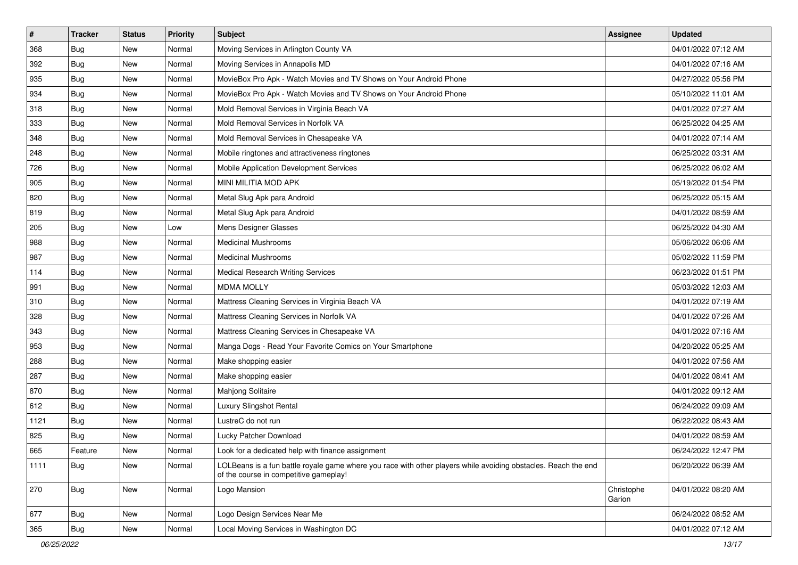| $\sharp$ | <b>Tracker</b> | <b>Status</b> | <b>Priority</b> | Subject                                                                                                                                                  | <b>Assignee</b>      | <b>Updated</b>      |
|----------|----------------|---------------|-----------------|----------------------------------------------------------------------------------------------------------------------------------------------------------|----------------------|---------------------|
| 368      | <b>Bug</b>     | New           | Normal          | Moving Services in Arlington County VA                                                                                                                   |                      | 04/01/2022 07:12 AM |
| 392      | <b>Bug</b>     | New           | Normal          | Moving Services in Annapolis MD                                                                                                                          |                      | 04/01/2022 07:16 AM |
| 935      | Bug            | New           | Normal          | MovieBox Pro Apk - Watch Movies and TV Shows on Your Android Phone                                                                                       |                      | 04/27/2022 05:56 PM |
| 934      | <b>Bug</b>     | New           | Normal          | MovieBox Pro Apk - Watch Movies and TV Shows on Your Android Phone                                                                                       |                      | 05/10/2022 11:01 AM |
| 318      | Bug            | New           | Normal          | Mold Removal Services in Virginia Beach VA                                                                                                               |                      | 04/01/2022 07:27 AM |
| 333      | <b>Bug</b>     | New           | Normal          | Mold Removal Services in Norfolk VA                                                                                                                      |                      | 06/25/2022 04:25 AM |
| 348      | Bug            | New           | Normal          | Mold Removal Services in Chesapeake VA                                                                                                                   |                      | 04/01/2022 07:14 AM |
| 248      | <b>Bug</b>     | New           | Normal          | Mobile ringtones and attractiveness ringtones                                                                                                            |                      | 06/25/2022 03:31 AM |
| 726      | <b>Bug</b>     | New           | Normal          | Mobile Application Development Services                                                                                                                  |                      | 06/25/2022 06:02 AM |
| 905      | Bug            | New           | Normal          | MINI MILITIA MOD APK                                                                                                                                     |                      | 05/19/2022 01:54 PM |
| 820      | <b>Bug</b>     | New           | Normal          | Metal Slug Apk para Android                                                                                                                              |                      | 06/25/2022 05:15 AM |
| 819      | Bug            | New           | Normal          | Metal Slug Apk para Android                                                                                                                              |                      | 04/01/2022 08:59 AM |
| 205      | Bug            | New           | Low             | Mens Designer Glasses                                                                                                                                    |                      | 06/25/2022 04:30 AM |
| 988      | <b>Bug</b>     | New           | Normal          | <b>Medicinal Mushrooms</b>                                                                                                                               |                      | 05/06/2022 06:06 AM |
| 987      | <b>Bug</b>     | <b>New</b>    | Normal          | <b>Medicinal Mushrooms</b>                                                                                                                               |                      | 05/02/2022 11:59 PM |
| 114      | Bug            | New           | Normal          | Medical Research Writing Services                                                                                                                        |                      | 06/23/2022 01:51 PM |
| 991      | <b>Bug</b>     | New           | Normal          | <b>MDMA MOLLY</b>                                                                                                                                        |                      | 05/03/2022 12:03 AM |
| 310      | Bug            | New           | Normal          | Mattress Cleaning Services in Virginia Beach VA                                                                                                          |                      | 04/01/2022 07:19 AM |
| 328      | <b>Bug</b>     | New           | Normal          | Mattress Cleaning Services in Norfolk VA                                                                                                                 |                      | 04/01/2022 07:26 AM |
| 343      | Bug            | <b>New</b>    | Normal          | Mattress Cleaning Services in Chesapeake VA                                                                                                              |                      | 04/01/2022 07:16 AM |
| 953      | <b>Bug</b>     | New           | Normal          | Manga Dogs - Read Your Favorite Comics on Your Smartphone                                                                                                |                      | 04/20/2022 05:25 AM |
| 288      | <b>Bug</b>     | New           | Normal          | Make shopping easier                                                                                                                                     |                      | 04/01/2022 07:56 AM |
| 287      | Bug            | New           | Normal          | Make shopping easier                                                                                                                                     |                      | 04/01/2022 08:41 AM |
| 870      | <b>Bug</b>     | New           | Normal          | Mahjong Solitaire                                                                                                                                        |                      | 04/01/2022 09:12 AM |
| 612      | Bug            | New           | Normal          | Luxury Slingshot Rental                                                                                                                                  |                      | 06/24/2022 09:09 AM |
| 1121     | <b>Bug</b>     | New           | Normal          | LustreC do not run                                                                                                                                       |                      | 06/22/2022 08:43 AM |
| 825      | <b>Bug</b>     | New           | Normal          | Lucky Patcher Download                                                                                                                                   |                      | 04/01/2022 08:59 AM |
| 665      | Feature        | New           | Normal          | Look for a dedicated help with finance assignment                                                                                                        |                      | 06/24/2022 12:47 PM |
| 1111     | Bug            | New           | Normal          | LOLBeans is a fun battle royale game where you race with other players while avoiding obstacles. Reach the end<br>of the course in competitive gameplay! |                      | 06/20/2022 06:39 AM |
| 270      | <b>Bug</b>     | New           | Normal          | Logo Mansion                                                                                                                                             | Christophe<br>Garion | 04/01/2022 08:20 AM |
| 677      | <b>Bug</b>     | New           | Normal          | Logo Design Services Near Me                                                                                                                             |                      | 06/24/2022 08:52 AM |
| 365      | Bug            | New           | Normal          | Local Moving Services in Washington DC                                                                                                                   |                      | 04/01/2022 07:12 AM |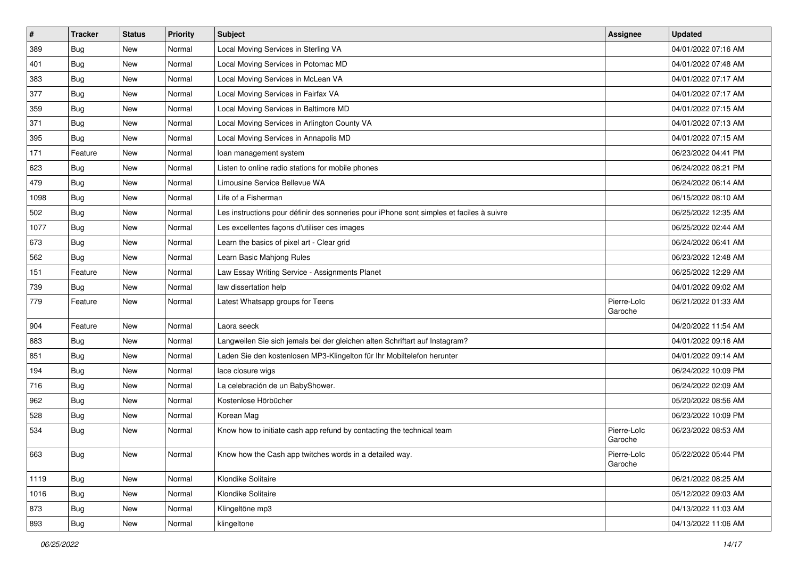| $\sharp$ | <b>Tracker</b> | <b>Status</b> | <b>Priority</b> | Subject                                                                                  | <b>Assignee</b>        | <b>Updated</b>      |
|----------|----------------|---------------|-----------------|------------------------------------------------------------------------------------------|------------------------|---------------------|
| 389      | <b>Bug</b>     | New           | Normal          | Local Moving Services in Sterling VA                                                     |                        | 04/01/2022 07:16 AM |
| 401      | <b>Bug</b>     | <b>New</b>    | Normal          | Local Moving Services in Potomac MD                                                      |                        | 04/01/2022 07:48 AM |
| 383      | <b>Bug</b>     | New           | Normal          | Local Moving Services in McLean VA                                                       |                        | 04/01/2022 07:17 AM |
| 377      | <b>Bug</b>     | New           | Normal          | Local Moving Services in Fairfax VA                                                      |                        | 04/01/2022 07:17 AM |
| 359      | <b>Bug</b>     | New           | Normal          | Local Moving Services in Baltimore MD                                                    |                        | 04/01/2022 07:15 AM |
| 371      | <b>Bug</b>     | New           | Normal          | Local Moving Services in Arlington County VA                                             |                        | 04/01/2022 07:13 AM |
| 395      | <b>Bug</b>     | <b>New</b>    | Normal          | Local Moving Services in Annapolis MD                                                    |                        | 04/01/2022 07:15 AM |
| 171      | Feature        | New           | Normal          | loan management system                                                                   |                        | 06/23/2022 04:41 PM |
| 623      | <b>Bug</b>     | New           | Normal          | Listen to online radio stations for mobile phones                                        |                        | 06/24/2022 08:21 PM |
| 479      | Bug            | New           | Normal          | Limousine Service Bellevue WA                                                            |                        | 06/24/2022 06:14 AM |
| 1098     | <b>Bug</b>     | New           | Normal          | Life of a Fisherman                                                                      |                        | 06/15/2022 08:10 AM |
| 502      | Bug            | New           | Normal          | Les instructions pour définir des sonneries pour iPhone sont simples et faciles à suivre |                        | 06/25/2022 12:35 AM |
| 1077     | <b>Bug</b>     | New           | Normal          | Les excellentes façons d'utiliser ces images                                             |                        | 06/25/2022 02:44 AM |
| 673      | <b>Bug</b>     | New           | Normal          | Learn the basics of pixel art - Clear grid                                               |                        | 06/24/2022 06:41 AM |
| 562      | <b>Bug</b>     | New           | Normal          | Learn Basic Mahjong Rules                                                                |                        | 06/23/2022 12:48 AM |
| 151      | Feature        | New           | Normal          | Law Essay Writing Service - Assignments Planet                                           |                        | 06/25/2022 12:29 AM |
| 739      | Bug            | New           | Normal          | law dissertation help                                                                    |                        | 04/01/2022 09:02 AM |
| 779      | Feature        | <b>New</b>    | Normal          | Latest Whatsapp groups for Teens                                                         | Pierre-Loïc<br>Garoche | 06/21/2022 01:33 AM |
| 904      | Feature        | <b>New</b>    | Normal          | Laora seeck                                                                              |                        | 04/20/2022 11:54 AM |
| 883      | <b>Bug</b>     | New           | Normal          | Langweilen Sie sich jemals bei der gleichen alten Schriftart auf Instagram?              |                        | 04/01/2022 09:16 AM |
| 851      | <b>Bug</b>     | New           | Normal          | Laden Sie den kostenlosen MP3-Klingelton für Ihr Mobiltelefon herunter                   |                        | 04/01/2022 09:14 AM |
| 194      | <b>Bug</b>     | New           | Normal          | lace closure wigs                                                                        |                        | 06/24/2022 10:09 PM |
| 716      | <b>Bug</b>     | New           | Normal          | La celebración de un BabyShower.                                                         |                        | 06/24/2022 02:09 AM |
| 962      | <b>Bug</b>     | New           | Normal          | Kostenlose Hörbücher                                                                     |                        | 05/20/2022 08:56 AM |
| 528      | <b>Bug</b>     | New           | Normal          | Korean Mag                                                                               |                        | 06/23/2022 10:09 PM |
| 534      | <b>Bug</b>     | New           | Normal          | Know how to initiate cash app refund by contacting the technical team                    | Pierre-Loïc<br>Garoche | 06/23/2022 08:53 AM |
| 663      | Bug            | New           | Normal          | Know how the Cash app twitches words in a detailed way.                                  | Pierre-Loïc<br>Garoche | 05/22/2022 05:44 PM |
| 1119     | <b>Bug</b>     | New           | Normal          | Klondike Solitaire                                                                       |                        | 06/21/2022 08:25 AM |
| 1016     | <b>Bug</b>     | New           | Normal          | Klondike Solitaire                                                                       |                        | 05/12/2022 09:03 AM |
| 873      | <b>Bug</b>     | New           | Normal          | Klingeltöne mp3                                                                          |                        | 04/13/2022 11:03 AM |
| 893      | <b>Bug</b>     | New           | Normal          | klingeltone                                                                              |                        | 04/13/2022 11:06 AM |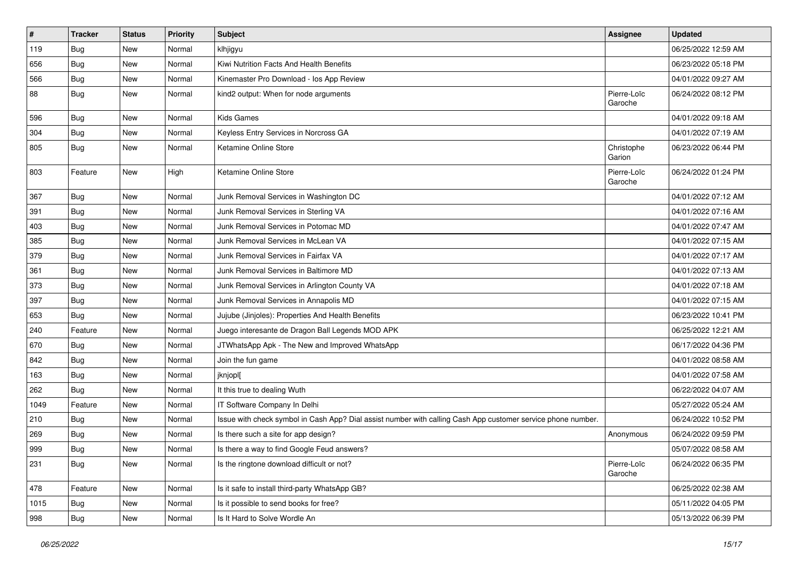| $\vert$ # | <b>Tracker</b> | <b>Status</b> | <b>Priority</b> | Subject                                                                                                      | <b>Assignee</b>        | <b>Updated</b>      |
|-----------|----------------|---------------|-----------------|--------------------------------------------------------------------------------------------------------------|------------------------|---------------------|
| 119       | <b>Bug</b>     | New           | Normal          | klhjigyu                                                                                                     |                        | 06/25/2022 12:59 AM |
| 656       | <b>Bug</b>     | New           | Normal          | Kiwi Nutrition Facts And Health Benefits                                                                     |                        | 06/23/2022 05:18 PM |
| 566       | <b>Bug</b>     | New           | Normal          | Kinemaster Pro Download - los App Review                                                                     |                        | 04/01/2022 09:27 AM |
| 88        | <b>Bug</b>     | New           | Normal          | kind2 output: When for node arguments                                                                        | Pierre-Loïc<br>Garoche | 06/24/2022 08:12 PM |
| 596       | <b>Bug</b>     | New           | Normal          | <b>Kids Games</b>                                                                                            |                        | 04/01/2022 09:18 AM |
| 304       | <b>Bug</b>     | New           | Normal          | Keyless Entry Services in Norcross GA                                                                        |                        | 04/01/2022 07:19 AM |
| 805       | Bug            | New           | Normal          | Ketamine Online Store                                                                                        | Christophe<br>Garion   | 06/23/2022 06:44 PM |
| 803       | Feature        | New           | High            | Ketamine Online Store                                                                                        | Pierre-Loïc<br>Garoche | 06/24/2022 01:24 PM |
| 367       | <b>Bug</b>     | New           | Normal          | Junk Removal Services in Washington DC                                                                       |                        | 04/01/2022 07:12 AM |
| 391       | Bug            | New           | Normal          | Junk Removal Services in Sterling VA                                                                         |                        | 04/01/2022 07:16 AM |
| 403       | <b>Bug</b>     | New           | Normal          | Junk Removal Services in Potomac MD                                                                          |                        | 04/01/2022 07:47 AM |
| 385       | <b>Bug</b>     | New           | Normal          | Junk Removal Services in McLean VA                                                                           |                        | 04/01/2022 07:15 AM |
| 379       | <b>Bug</b>     | New           | Normal          | Junk Removal Services in Fairfax VA                                                                          |                        | 04/01/2022 07:17 AM |
| 361       | Bug            | New           | Normal          | Junk Removal Services in Baltimore MD                                                                        |                        | 04/01/2022 07:13 AM |
| 373       | Bug            | New           | Normal          | Junk Removal Services in Arlington County VA                                                                 |                        | 04/01/2022 07:18 AM |
| 397       | Bug            | New           | Normal          | Junk Removal Services in Annapolis MD                                                                        |                        | 04/01/2022 07:15 AM |
| 653       | <b>Bug</b>     | <b>New</b>    | Normal          | Jujube (Jinjoles): Properties And Health Benefits                                                            |                        | 06/23/2022 10:41 PM |
| 240       | Feature        | New           | Normal          | Juego interesante de Dragon Ball Legends MOD APK                                                             |                        | 06/25/2022 12:21 AM |
| 670       | <b>Bug</b>     | New           | Normal          | JTWhatsApp Apk - The New and Improved WhatsApp                                                               |                        | 06/17/2022 04:36 PM |
| 842       | <b>Bug</b>     | New           | Normal          | Join the fun game                                                                                            |                        | 04/01/2022 08:58 AM |
| 163       | <b>Bug</b>     | New           | Normal          | jknjopl[                                                                                                     |                        | 04/01/2022 07:58 AM |
| 262       | <b>Bug</b>     | New           | Normal          | It this true to dealing Wuth                                                                                 |                        | 06/22/2022 04:07 AM |
| 1049      | Feature        | New           | Normal          | IT Software Company In Delhi                                                                                 |                        | 05/27/2022 05:24 AM |
| 210       | Bug            | New           | Normal          | Issue with check symbol in Cash App? Dial assist number with calling Cash App customer service phone number. |                        | 06/24/2022 10:52 PM |
| 269       | <b>Bug</b>     | New           | Normal          | Is there such a site for app design?                                                                         | Anonymous              | 06/24/2022 09:59 PM |
| 999       | Bug            | New           | Normal          | Is there a way to find Google Feud answers?                                                                  |                        | 05/07/2022 08:58 AM |
| 231       | Bug            | New           | Normal          | Is the ringtone download difficult or not?                                                                   | Pierre-Loïc<br>Garoche | 06/24/2022 06:35 PM |
| 478       | Feature        | New           | Normal          | Is it safe to install third-party WhatsApp GB?                                                               |                        | 06/25/2022 02:38 AM |
| 1015      | <b>Bug</b>     | New           | Normal          | Is it possible to send books for free?                                                                       |                        | 05/11/2022 04:05 PM |
| 998       | <b>Bug</b>     | New           | Normal          | Is It Hard to Solve Wordle An                                                                                |                        | 05/13/2022 06:39 PM |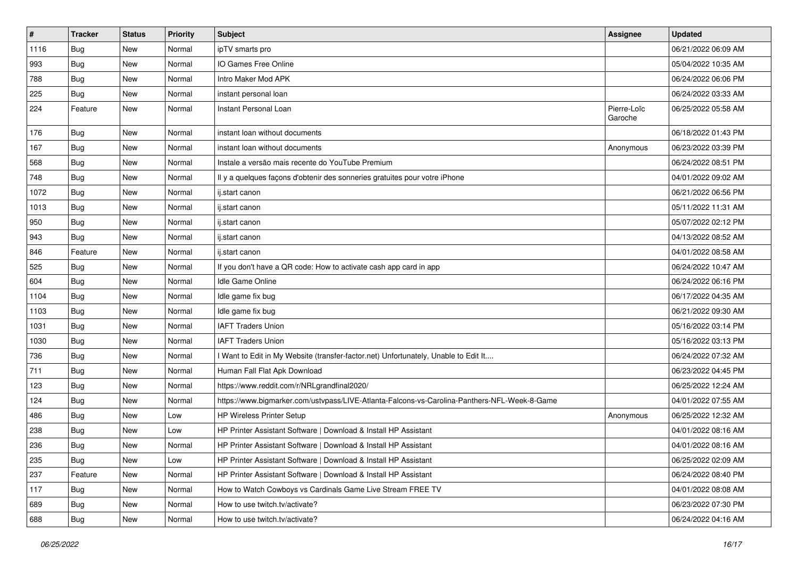| $\vert$ # | <b>Tracker</b> | <b>Status</b> | <b>Priority</b> | Subject                                                                                      | <b>Assignee</b>        | <b>Updated</b>      |
|-----------|----------------|---------------|-----------------|----------------------------------------------------------------------------------------------|------------------------|---------------------|
| 1116      | <b>Bug</b>     | New           | Normal          | ipTV smarts pro                                                                              |                        | 06/21/2022 06:09 AM |
| 993       | Bug            | New           | Normal          | IO Games Free Online                                                                         |                        | 05/04/2022 10:35 AM |
| 788       | <b>Bug</b>     | New           | Normal          | Intro Maker Mod APK                                                                          |                        | 06/24/2022 06:06 PM |
| 225       | <b>Bug</b>     | New           | Normal          | instant personal loan                                                                        |                        | 06/24/2022 03:33 AM |
| 224       | Feature        | New           | Normal          | Instant Personal Loan                                                                        | Pierre-Loïc<br>Garoche | 06/25/2022 05:58 AM |
| 176       | <b>Bug</b>     | New           | Normal          | instant loan without documents                                                               |                        | 06/18/2022 01:43 PM |
| 167       | Bug            | New           | Normal          | instant loan without documents                                                               | Anonymous              | 06/23/2022 03:39 PM |
| 568       | <b>Bug</b>     | New           | Normal          | Instale a versão mais recente do YouTube Premium                                             |                        | 06/24/2022 08:51 PM |
| 748       | Bug            | New           | Normal          | Il y a quelques façons d'obtenir des sonneries gratuites pour votre iPhone                   |                        | 04/01/2022 09:02 AM |
| 1072      | <b>Bug</b>     | New           | Normal          | ij.start canon                                                                               |                        | 06/21/2022 06:56 PM |
| 1013      | <b>Bug</b>     | New           | Normal          | ij.start canon                                                                               |                        | 05/11/2022 11:31 AM |
| 950       | <b>Bug</b>     | New           | Normal          | ij.start canon                                                                               |                        | 05/07/2022 02:12 PM |
| 943       | <b>Bug</b>     | New           | Normal          | ij.start canon                                                                               |                        | 04/13/2022 08:52 AM |
| 846       | Feature        | New           | Normal          | ij.start canon                                                                               |                        | 04/01/2022 08:58 AM |
| 525       | <b>Bug</b>     | New           | Normal          | If you don't have a QR code: How to activate cash app card in app                            |                        | 06/24/2022 10:47 AM |
| 604       | Bug            | New           | Normal          | Idle Game Online                                                                             |                        | 06/24/2022 06:16 PM |
| 1104      | Bug            | <b>New</b>    | Normal          | Idle game fix bug                                                                            |                        | 06/17/2022 04:35 AM |
| 1103      | <b>Bug</b>     | New           | Normal          | Idle game fix bug                                                                            |                        | 06/21/2022 09:30 AM |
| 1031      | <b>Bug</b>     | New           | Normal          | <b>IAFT Traders Union</b>                                                                    |                        | 05/16/2022 03:14 PM |
| 1030      | <b>Bug</b>     | New           | Normal          | <b>IAFT Traders Union</b>                                                                    |                        | 05/16/2022 03:13 PM |
| 736       | Bug            | New           | Normal          | I Want to Edit in My Website (transfer-factor.net) Unfortunately, Unable to Edit It          |                        | 06/24/2022 07:32 AM |
| 711       | Bug            | New           | Normal          | Human Fall Flat Apk Download                                                                 |                        | 06/23/2022 04:45 PM |
| 123       | <b>Bug</b>     | New           | Normal          | https://www.reddit.com/r/NRLgrandfinal2020/                                                  |                        | 06/25/2022 12:24 AM |
| 124       | Bug            | New           | Normal          | https://www.bigmarker.com/ustvpass/LIVE-Atlanta-Falcons-vs-Carolina-Panthers-NFL-Week-8-Game |                        | 04/01/2022 07:55 AM |
| 486       | <b>Bug</b>     | New           | Low             | <b>HP Wireless Printer Setup</b>                                                             | Anonymous              | 06/25/2022 12:32 AM |
| 238       | Bug            | New           | Low             | HP Printer Assistant Software   Download & Install HP Assistant                              |                        | 04/01/2022 08:16 AM |
| 236       | <b>Bug</b>     | New           | Normal          | HP Printer Assistant Software   Download & Install HP Assistant                              |                        | 04/01/2022 08:16 AM |
| 235       | <b>Bug</b>     | New           | Low             | HP Printer Assistant Software   Download & Install HP Assistant                              |                        | 06/25/2022 02:09 AM |
| 237       | Feature        | New           | Normal          | HP Printer Assistant Software   Download & Install HP Assistant                              |                        | 06/24/2022 08:40 PM |
| 117       | Bug            | New           | Normal          | How to Watch Cowboys vs Cardinals Game Live Stream FREE TV                                   |                        | 04/01/2022 08:08 AM |
| 689       | Bug            | New           | Normal          | How to use twitch.tv/activate?                                                               |                        | 06/23/2022 07:30 PM |
| 688       | Bug            | New           | Normal          | How to use twitch.tv/activate?                                                               |                        | 06/24/2022 04:16 AM |